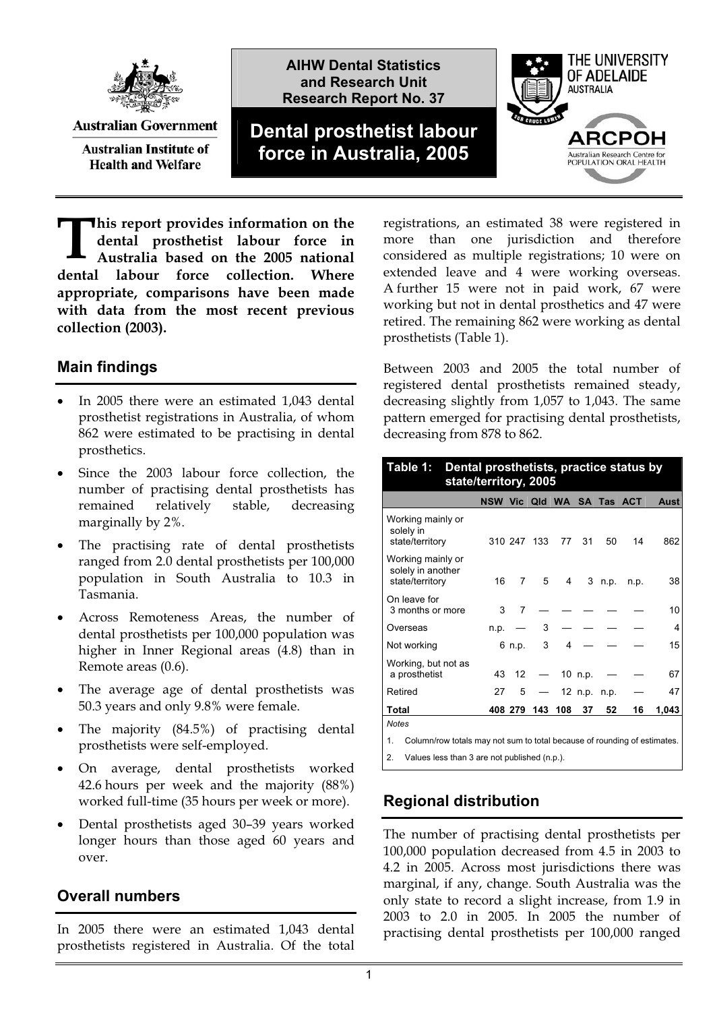

**Australian Government Australian Institute of** 

**Health and Welfare** 

**AIHW Dental Statistics and Research Unit Research Report No. 37**

# **Dental prosthetist labour force in Australia, 2005**



**his report provides information on the dental prosthetist labour force in Australia based on the 2005 national dental labour force collection. Where appropriate, comparisons have been made with data from the most recent previous collection (2003).**   $\prod_{\alpha}$  **hi** de

### **Main findings**

- $\bullet$  In 2005 there were an estimated 1,043 dental prosthetist registrations in Australia, of whom 862 were estimated to be practising in dental prosthetics.
- - Since the 2003 labour force collection, the number of practising dental prosthetists has remained relatively stable, decreasing marginally by 2%.
- $\bullet$  The practising rate of dental prosthetists ranged from 2.0 dental prosthetists per 100,000 population in South Australia to 10.3 in Tasmania.
- - Across Remoteness Areas, the number of dental prosthetists per 100,000 population was higher in Inner Regional areas (4.8) than in Remote areas (0.6).
- $\bullet$  The average age of dental prosthetists was 50.3 years and only 9.8% were female.
- - The majority (84.5%) of practising dental prosthetists were self-employed.
- $\bullet$  On average, dental prosthetists worked 42.6 hours per week and the majority (88%) worked full-time (35 hours per week or more).
- $\bullet$  Dental prosthetists aged 30–39 years worked longer hours than those aged 60 years and over.

#### **Overall numbers**

In 2005 there were an estimated 1,043 dental prosthetists registered in Australia. Of the total

registrations, an estimated 38 were registered in more than one jurisdiction and therefore considered as multiple registrations; 10 were on extended leave and 4 were working overseas. A further 15 were not in paid work, 67 were working but not in dental prosthetics and 47 were retired. The remaining 862 were working as dental prosthetists (Table 1).

Between 2003 and 2005 the total number of registered dental prosthetists remained steady, decreasing slightly from 1,057 to 1,043. The same pattern emerged for practising dental prosthetists, decreasing from 878 to 862.

| Dental prosthetists, practice status by<br>Table 1:<br>state/territory, 2005   |                           |         |             |     |              |      |      |       |
|--------------------------------------------------------------------------------|---------------------------|---------|-------------|-----|--------------|------|------|-------|
|                                                                                | NSW Vic Qld WA SA Tas ACT |         |             |     |              |      |      | Aust  |
| Working mainly or<br>solely in<br>state/territory                              |                           |         | 310 247 133 | 77  | 31           | 50   | 14   | 862   |
| Working mainly or<br>solely in another<br>state/territory                      | 16                        | 7       | 5           | 4   | 3            | n.p. | n.p. | 38    |
| On leave for<br>3 months or more                                               | 3                         | 7       |             |     |              |      |      | 10    |
| Overseas                                                                       | n.p.                      |         | 3           |     |              |      |      | 4     |
| Not working                                                                    |                           | 6 n.p.  | 3           | 4   |              |      |      | 15    |
| Working, but not as<br>a prosthetist                                           | 43                        | 12      |             |     | 10 n.p.      |      |      | 67    |
| Retired                                                                        | 27                        | 5       |             |     | 12 n.p. n.p. |      |      | 47    |
| Total                                                                          |                           | 408 279 | 143         | 108 | 37           | 52   | 16   | 1,043 |
| <b>Notes</b>                                                                   |                           |         |             |     |              |      |      |       |
| Column/row totals may not sum to total because of rounding of estimates.<br>1. |                           |         |             |     |              |      |      |       |
| Values less than 3 are not published $(n, n)$<br>2                             |                           |         |             |     |              |      |      |       |

2. Values less than 3 are not published (n.p.).

## **Regional distribution**

The number of practising dental prosthetists per 100,000 population decreased from 4.5 in 2003 to 4.2 in 2005. Across most jurisdictions there was marginal, if any, change. South Australia was the only state to record a slight increase, from 1.9 in 2003 to 2.0 in 2005. In 2005 the number of practising dental prosthetists per 100,000 ranged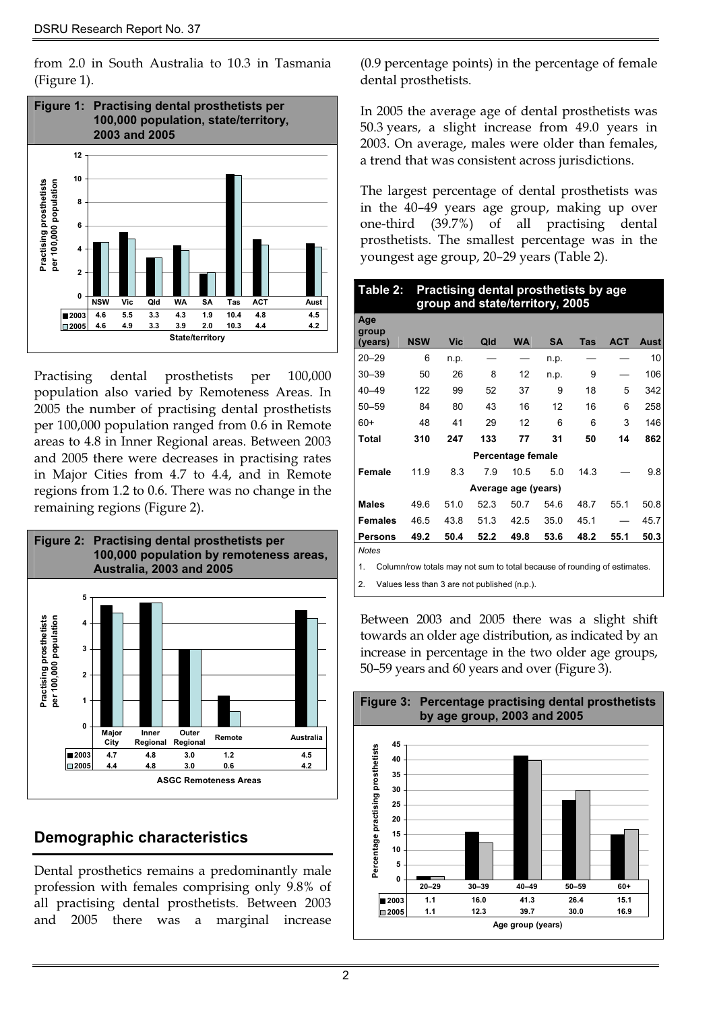from 2.0 in South Australia to 10.3 in Ta smania . (Figure 1)



Practising dental prosthetists per 100,000 population also varied by Remoteness Areas. In 2005 the number of practising dental prosthetists per 100,000 population ranged from 0.6 in Remote areas to 4.8 in Inner Regional areas. Between 2003 and 2005 there were decreases in practising rates in Major Cities from 4.7 to 4.4, and in Remote regions from 1.2 to 0.6. There was no change in the remaining regions (Figure 2).



## **Demographic characteristics**

Dental prosthetics remains a predominantly male profession with females comprising only 9.8% of all practising dental prosthetists. Between 2003 and 2005 there was a marginal increase

(0.9 percentage points) in the percentage of female dental prosthetists.

In 2005 the average age of dental prosthetists was 50.3 years, a slight increase from 49.0 years in 2003. On average, males were older than females, a trend that was consistent across jurisdictions.

in the 40–49 years age group, making up over one-third (39.7%) of all practising dental prosthetists. The smallest percentage was in the youngest age group, 20–29 years (Table 2). The largest percentage of dental prosthetists was

| Table 2:<br>Practising dental prosthetists by age<br>group and state/territory, 2005 |                     |            |      |                   |           |      |            |      |
|--------------------------------------------------------------------------------------|---------------------|------------|------|-------------------|-----------|------|------------|------|
| Age<br>group<br>(years)                                                              | <b>NSW</b>          | <b>Vic</b> | Qld  | <b>WA</b>         | <b>SA</b> | Tas  | <b>ACT</b> | Aust |
| $20 - 29$                                                                            | 6                   | n.p.       |      |                   | n.p.      |      |            | 10   |
| $30 - 39$                                                                            | 50                  | 26         | 8    | 12                | n.p.      | 9    |            | 106  |
| $40 - 49$                                                                            | 122                 | 99         | 52   | 37                | 9         | 18   | 5          | 342  |
| $50 - 59$                                                                            | 84                  | 80         | 43   | 16                | 12        | 16   | 6          | 258  |
| $60+$                                                                                | 48                  | 41         | 29   | 12                | 6         | 6    | 3          | 146  |
| <b>Total</b>                                                                         | 310                 | 247        | 133  | 77                | 31        | 50   | 14         | 862  |
|                                                                                      |                     |            |      | Percentage female |           |      |            |      |
| Female                                                                               | 11.9                | 8.3        | 7.9  | 10.5              | 5.0       | 14.3 |            | 9.8  |
|                                                                                      | Average age (years) |            |      |                   |           |      |            |      |
| <b>Males</b>                                                                         | 49.6                | 51.0       | 52.3 | 50.7              | 54.6      | 48.7 | 55.1       | 50.8 |
| <b>Females</b>                                                                       | 46.5                | 43.8       | 51.3 | 42.5              | 35.0      | 45.1 |            | 45.7 |
| <b>Persons</b>                                                                       | 49.2                | 50.4       | 52.2 | 49.8              | 53.6      | 48.2 | 55.1       | 50.3 |
| <b>Notes</b>                                                                         |                     |            |      |                   |           |      |            |      |
| 1<br>Column/row totals may not sum to total because of rounding of estimates         |                     |            |      |                   |           |      |            |      |

1. Column/row totals may not sum to total because of rounding of estimates.

Values less than 3 are not published (n.p.).

Between 2003 and 2005 there was a slight shift towards an older age distribution, as indicated by an 50–59 years and 60 years and over (Figure 3). increase in percentage in the two older age groups,

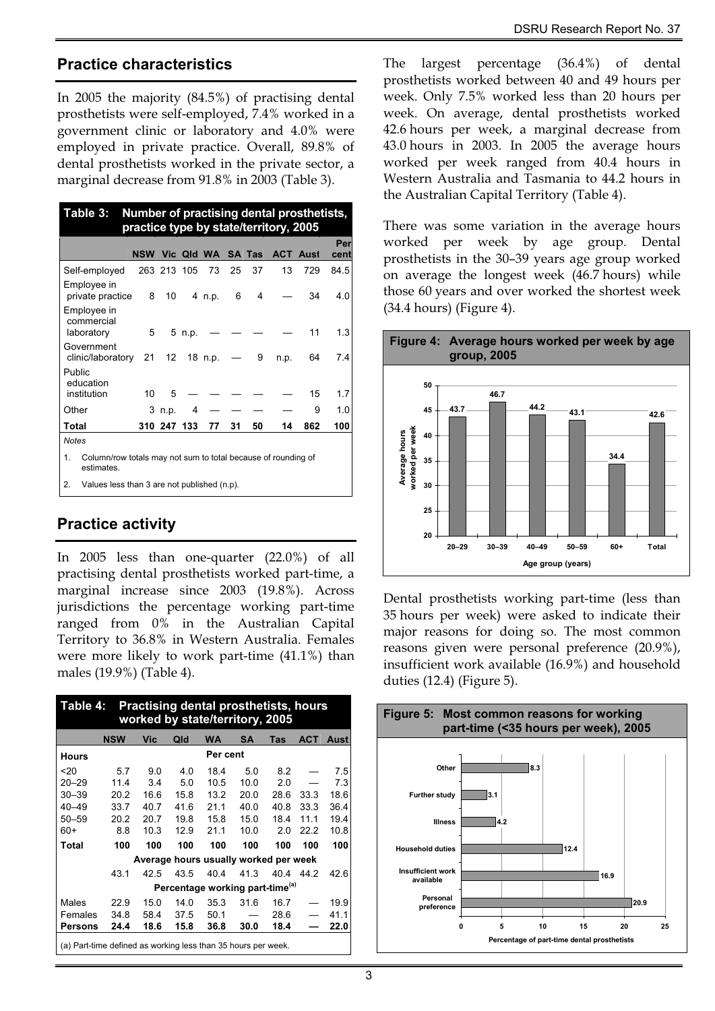#### **Practice characteristics**

In 2005 the majority (84.5%) of practising dental prosthetists were self-employed, 7.4% worked in a government clinic or laboratory and 4.0% were employed in private practice. Overall, 89.8% of dental prosthetists worked in the private sector, a marginal decrease from 91.8% in 2003 (Table 3).

| Table 3:<br>Number of practising dental prosthetists,<br>practice type by state/territory, 2005 |            |             |            |            |    |               |      |                 |      |
|-------------------------------------------------------------------------------------------------|------------|-------------|------------|------------|----|---------------|------|-----------------|------|
|                                                                                                 |            |             |            |            |    |               |      |                 | Per  |
|                                                                                                 | <b>NSW</b> |             |            | Vic Qld WA |    | <b>SA Tas</b> |      | <b>ACT Aust</b> | cent |
| Self-employed                                                                                   |            | 263 213 105 |            | 73         | 25 | 37            | 13   | 729             | 84.5 |
| Employee in<br>private practice                                                                 | 8          | 10          |            | 4 n.p.     | 6  | 4             |      | 34              | 4.0  |
| Employee in<br>commercial<br>laboratory                                                         | 5          |             | 5 n.p.     |            |    |               |      | 11              | 1.3  |
| Government<br>clinic/laboratory                                                                 | 21         |             | 12 18 n.p. |            |    | 9             | n.p. | 64              | 7.4  |
| Public<br>education<br>institution                                                              | 10         | 5           |            |            |    |               |      | 15              | 1.7  |
| Other                                                                                           |            | 3 n.p.      | 4          |            |    |               |      | 9               | 1.0  |
| Total                                                                                           |            | 310 247 133 |            | 77         | 31 | 50            | 14   | 862             | 100  |
| <b>Notes</b>                                                                                    |            |             |            |            |    |               |      |                 |      |
| 1.<br>Column/row totals may not sum to total because of rounding of<br>estimates.               |            |             |            |            |    |               |      |                 |      |
| $\overline{2}$ .<br>Values less than 3 are not published (n.p).                                 |            |             |            |            |    |               |      |                 |      |

### **Practice activity**

In 2005 less than one-quarter (22.0%) of all practising dental prosthetists worked part-time, a marginal increase since 2003 (19.8%). Across jurisdictions the percentage working part-time ranged from 0% in the Australian Capital Territory to 36.8% in Western Australia. Females were more likely to work part-time (41.1%) than males (19.9%) (Table 4).

| <b>Practising dental prosthetists, hours</b><br>Table 4:<br>worked by state/territory, 2005 |            |      |      |           |           |      |            |      |
|---------------------------------------------------------------------------------------------|------------|------|------|-----------|-----------|------|------------|------|
|                                                                                             | <b>NSW</b> | Vic  | Qld  | <b>WA</b> | <b>SA</b> | Tas  | <b>ACT</b> | Aust |
| <b>Hours</b>                                                                                | Per cent   |      |      |           |           |      |            |      |
| 20                                                                                          | 5.7        | 9.0  | 4.0  | 18.4      | 5.0       | 8.2  |            | 7.5  |
| $20 - 29$                                                                                   | 11.4       | 3.4  | 5.0  | 10.5      | 10.0      | 2.0  |            | 7.3  |
| $30 - 39$                                                                                   | 20.2       | 16.6 | 15.8 | 13.2      | 20.0      | 28.6 | 33.3       | 18.6 |
| $40 - 49$                                                                                   | 33.7       | 40.7 | 41.6 | 21.1      | 40.0      | 40.8 | 33.3       | 36.4 |
| $50 - 59$                                                                                   | 20.2       | 20.7 | 19.8 | 15.8      | 15.0      | 18.4 | 11.1       | 19.4 |
| $60+$                                                                                       | 8.8        | 10.3 | 12.9 | 21.1      | 10.0      | 2.0  | 22.2       | 10.8 |
| Total                                                                                       | 100        | 100  | 100  | 100       | 100       | 100  | 100        | 100  |
| Average hours usually worked per week                                                       |            |      |      |           |           |      |            |      |
|                                                                                             | 43.1       | 42.5 | 43.5 | 40.4      | 41.3      | 40.4 | 44.2       | 42.6 |
| Percentage working part-time <sup>(a)</sup>                                                 |            |      |      |           |           |      |            |      |
| Males                                                                                       | 22.9       | 15.0 | 14.0 | 35.3      | 31.6      | 16.7 |            | 19.9 |
| Females                                                                                     | 34.8       | 58.4 | 37.5 | 50.1      |           | 28.6 |            | 41.1 |
| <b>Persons</b>                                                                              | 24.4       | 18.6 | 15.8 | 36.8      | 30.0      | 18.4 |            | 22.0 |
| (a) Part-time defined as working less than 35 hours per week.                               |            |      |      |           |           |      |            |      |

The largest percentage (36.4%) of dental prosthetists worked between 40 and 49 hours per week. Only 7.5% worked less than 20 hours per week. On average, dental prosthetists worked 42.6 hours per week, a marginal decrease from 43.0 hours in 2003. In 2005 the average hours worked per week ranged from 40.4 hours in Western Australia and Tasmania to 44.2 hours in the Australian Capital Territory (Table 4).

There was some variation in the average hours worked per week by age group. Dental prosthetists in the 30–39 years age group worked on average the longest week (46.7 hours) while those 60 years and over worked the shortest week (34.4 hours) (Figure 4).



Dental prosthetists working part-time (less than 35 hours per week) were asked to indicate their major reasons for doing so. The most common reasons given were personal preference (20.9%), insufficient work available (16.9%) and household duties (12.4) (Figure 5).